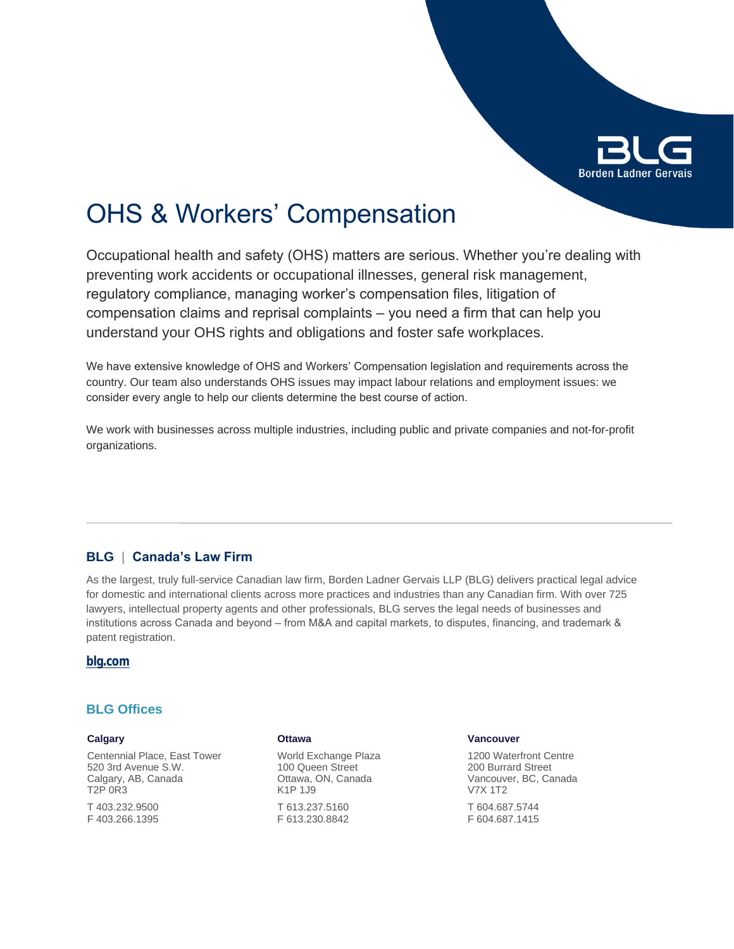

# OHS & Workers' Compensation

Occupational health and safety (OHS) matters are serious. Whether you're dealing with preventing work accidents or occupational illnesses, general risk management, regulatory compliance, managing worker's compensation files, litigation of compensation claims and reprisal complaints – you need a firm that can help you understand your OHS rights and obligations and foster safe workplaces.

We have extensive knowledge of OHS and Workers' Compensation legislation and requirements across the country. Our team also understands OHS issues may impact labour relations and employment issues: we consider every angle to help our clients determine the best course of action.

We work with businesses across multiple industries, including public and private companies and not-for-profit organizations.

# **BLG | Canada's Law Firm**

As the largest, truly full-service Canadian law firm, Borden Ladner Gervais LLP (BLG) delivers practical legal advice for domestic and international clients across more practices and industries than any Canadian firm. With over 725 lawyers, intellectual property agents and other professionals, BLG serves the legal needs of businesses and institutions across Canada and beyond – from M&A and capital markets, to disputes, financing, and trademark & patent registration.

#### **[blg.com](http://www.blg.com)**

## **BLG Offices**

#### **Calgary**

Centennial Place, East Tower 520 3rd Avenue S.W. Calgary, AB, Canada T2P 0R3

T 403.232.9500 F 403.266.1395

#### **Ottawa**

World Exchange Plaza 100 Queen Street Ottawa, ON, Canada K1P 1J9 T 613.237.5160 F 613.230.8842

#### **Vancouver**

1200 Waterfront Centre 200 Burrard Street Vancouver, BC, Canada V7X 1T2

T 604.687.5744 F 604.687.1415